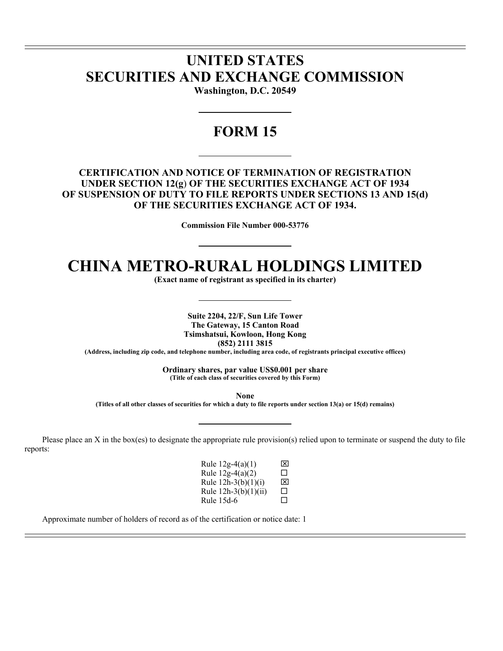# **UNITED STATES SECURITIES AND EXCHANGE COMMISSION**

l l

 $\overline{a}$ 

**Washington, D.C. 20549** 

### **FORM 15**

### **CERTIFICATION AND NOTICE OF TERMINATION OF REGISTRATION UNDER SECTION 12(g**) **OF THE SECURITIES EXCHANGE ACT OF 1934 OF SUSPENSION OF DUTY TO FILE REPORTS UNDER SECTIONS 13 AND 15(d) OF THE SECURITIES EXCHANGE ACT OF 1934.**

**Commission File Number 000-53776** 

## **CHINA METRO-RURAL HOLDINGS LIMITED**

**(Exact name of registrant as specified in its charter)** 

**Suite 2204, 22/F, Sun Life Tower The Gateway, 15 Canton Road Tsimshatsui, Kowloon, Hong Kong (852) 2111 3815** 

**(Address, including zip code, and telephone number, including area code, of registrants principal executive offices)** 

**Ordinary shares, par value US\$0.001 per share (Title of each class of securities covered by this Form)** 

**None** 

**(Titles of all other classes of securities for which a duty to file reports under section 13(a) or 15(d) remains)** 

Please place an X in the box(es) to designate the appropriate rule provision(s) relied upon to terminate or suspend the duty to file reports:

| Rule 12g-4(a)(1)     | ⊠            |
|----------------------|--------------|
| Rule $12g-4(a)(2)$   | П            |
| Rule 12h-3(b)(1)(i)  | ⊠            |
| Rule 12h-3(b)(1)(ii) | П            |
| Rule 15d-6           | $\mathbf{L}$ |

Approximate number of holders of record as of the certification or notice date: 1